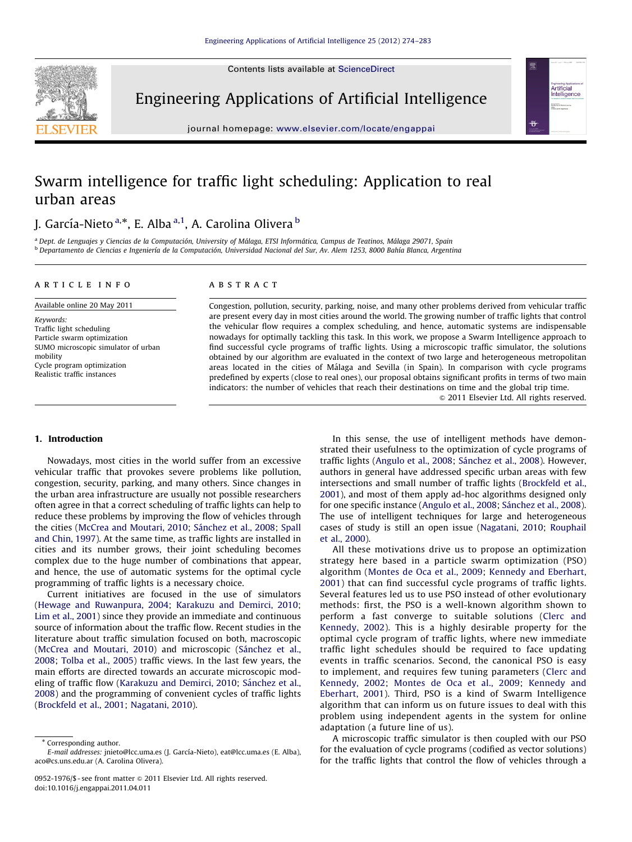Contents lists available at ScienceDirect



Engineering Applications of Artificial Intelligence

journal homepage: <www.elsevier.com/locate/engappai>

# Artificial<br>Intelligence

## Swarm intelligence for traffic light scheduling: Application to real urban areas

### J. García-Nieto <sup>a,</sup>\*, E. Alba <sup>a,1</sup>, A. Carolina Olivera <sup>b</sup>

<sup>a</sup> Dept. de Lenguajes y Ciencias de la Computación, University of Málaga, ETSI Informática, Campus de Teatinos, Málaga 29071, Spain <sup>b</sup> Departamento de Ciencias e Ingenierı´a de la Computacio´n, Universidad Nacional del Sur, Av. Alem 1253, 8000 Bahı´a Blanca, Argentina

#### article info

Available online 20 May 2011

Keywords: Traffic light scheduling Particle swarm optimization SUMO microscopic simulator of urban mobility Cycle program optimization Realistic traffic instances

#### **ABSTRACT**

Congestion, pollution, security, parking, noise, and many other problems derived from vehicular traffic are present every day in most cities around the world. The growing number of traffic lights that control the vehicular flow requires a complex scheduling, and hence, automatic systems are indispensable nowadays for optimally tackling this task. In this work, we propose a Swarm Intelligence approach to find successful cycle programs of traffic lights. Using a microscopic traffic simulator, the solutions obtained by our algorithm are evaluated in the context of two large and heterogeneous metropolitan areas located in the cities of Málaga and Sevilla (in Spain). In comparison with cycle programs predefined by experts (close to real ones), our proposal obtains significant profits in terms of two main indicators: the number of vehicles that reach their destinations on time and the global trip time.

 $\odot$  2011 Elsevier Ltd. All rights reserved.

#### 1. Introduction

Nowadays, most cities in the world suffer from an excessive vehicular traffic that provokes severe problems like pollution, congestion, security, parking, and many others. Since changes in the urban area infrastructure are usually not possible researchers often agree in that a correct scheduling of traffic lights can help to reduce these problems by improving the flow of vehicles through the cities ([McCrea and Moutari, 2010](#page--1-0); Sánchez et al., 2008; [Spall](#page--1-0) [and Chin, 1997](#page--1-0)). At the same time, as traffic lights are installed in cities and its number grows, their joint scheduling becomes complex due to the huge number of combinations that appear, and hence, the use of automatic systems for the optimal cycle programming of traffic lights is a necessary choice.

Current initiatives are focused in the use of simulators ([Hewage and Ruwanpura, 2004;](#page--1-0) [Karakuzu and Demirci, 2010;](#page--1-0) [Lim et al., 2001](#page--1-0)) since they provide an immediate and continuous source of information about the traffic flow. Recent studies in the literature about traffic simulation focused on both, macroscopic ([McCrea and Moutari, 2010\)](#page--1-0) and microscopic (Sánchez et al., [2008;](#page--1-0) [Tolba et al., 2005\)](#page--1-0) traffic views. In the last few years, the main efforts are directed towards an accurate microscopic mod-eling of traffic flow ([Karakuzu and Demirci, 2010](#page--1-0); Sánchez et al., [2008\)](#page--1-0) and the programming of convenient cycles of traffic lights ([Brockfeld et al., 2001](#page--1-0); [Nagatani, 2010](#page--1-0)).

In this sense, the use of intelligent methods have demonstrated their usefulness to the optimization of cycle programs of traffic lights [\(Angulo et al., 2008;](#page--1-0) Sánchez et al., 2008). However, authors in general have addressed specific urban areas with few intersections and small number of traffic lights [\(Brockfeld et al.,](#page--1-0) [2001\)](#page--1-0), and most of them apply ad-hoc algorithms designed only for one specific instance [\(Angulo et al., 2008](#page--1-0); Sánchez et al., 2008). The use of intelligent techniques for large and heterogeneous cases of study is still an open issue ([Nagatani, 2010;](#page--1-0) [Rouphail](#page--1-0) [et al., 2000](#page--1-0)).

All these motivations drive us to propose an optimization strategy here based in a particle swarm optimization (PSO) algorithm ([Montes de Oca et al., 2009](#page--1-0); [Kennedy and Eberhart,](#page--1-0) [2001](#page--1-0)) that can find successful cycle programs of traffic lights. Several features led us to use PSO instead of other evolutionary methods: first, the PSO is a well-known algorithm shown to perform a fast converge to suitable solutions ([Clerc and](#page--1-0) [Kennedy, 2002\)](#page--1-0). This is a highly desirable property for the optimal cycle program of traffic lights, where new immediate traffic light schedules should be required to face updating events in traffic scenarios. Second, the canonical PSO is easy to implement, and requires few tuning parameters ([Clerc and](#page--1-0) [Kennedy, 2002](#page--1-0); [Montes de Oca et al., 2009](#page--1-0); [Kennedy and](#page--1-0) [Eberhart, 2001](#page--1-0)). Third, PSO is a kind of Swarm Intelligence algorithm that can inform us on future issues to deal with this problem using independent agents in the system for online adaptation (a future line of us).

A microscopic traffic simulator is then coupled with our PSO for the evaluation of cycle programs (codified as vector solutions) for the traffic lights that control the flow of vehicles through a

<sup>\*</sup> Corresponding author. E-mail addresses: jnieto@lcc.uma.es (J. García-Nieto), [eat@lcc.uma.es \(E. Alba\)](mailto:eat@lcc.uma.es), [aco@cs.uns.edu.ar \(A. Carolina Olivera\).](mailto:aco@cs.uns.edu.ar)

<sup>0952-1976/\$ -</sup> see front matter  $\odot$  2011 Elsevier Ltd. All rights reserved. doi:[10.1016/j.engappai.2011.04.011](dx.doi.org/10.1016/j.engappai.2011.04.011)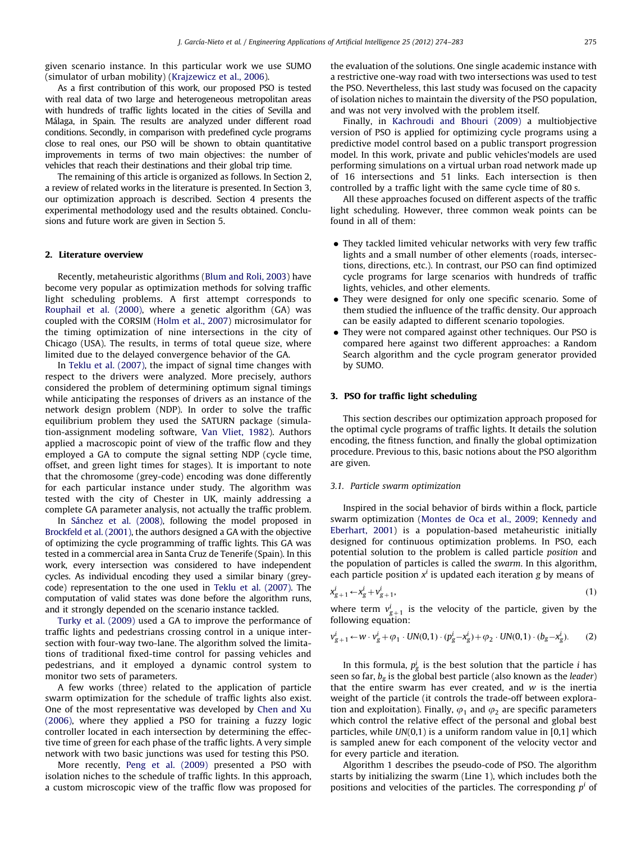given scenario instance. In this particular work we use SUMO (simulator of urban mobility) ([Krajzewicz et al., 2006](#page--1-0)).

As a first contribution of this work, our proposed PSO is tested with real data of two large and heterogeneous metropolitan areas with hundreds of traffic lights located in the cities of Sevilla and Málaga, in Spain. The results are analyzed under different road conditions. Secondly, in comparison with predefined cycle programs close to real ones, our PSO will be shown to obtain quantitative improvements in terms of two main objectives: the number of vehicles that reach their destinations and their global trip time.

The remaining of this article is organized as follows. In Section 2, a review of related works in the literature is presented. In Section 3, our optimization approach is described. Section 4 presents the experimental methodology used and the results obtained. Conclusions and future work are given in Section 5.

#### 2. Literature overview

Recently, metaheuristic algorithms [\(Blum and Roli, 2003](#page--1-0)) have become very popular as optimization methods for solving traffic light scheduling problems. A first attempt corresponds to [Rouphail et al. \(2000\),](#page--1-0) where a genetic algorithm (GA) was coupled with the CORSIM [\(Holm et al., 2007](#page--1-0)) microsimulator for the timing optimization of nine intersections in the city of Chicago (USA). The results, in terms of total queue size, where limited due to the delayed convergence behavior of the GA.

In [Teklu et al. \(2007\)](#page--1-0), the impact of signal time changes with respect to the drivers were analyzed. More precisely, authors considered the problem of determining optimum signal timings while anticipating the responses of drivers as an instance of the network design problem (NDP). In order to solve the traffic equilibrium problem they used the SATURN package (simulation-assignment modeling software, [Van Vliet, 1982\)](#page--1-0). Authors applied a macroscopic point of view of the traffic flow and they employed a GA to compute the signal setting NDP (cycle time, offset, and green light times for stages). It is important to note that the chromosome (grey-code) encoding was done differently for each particular instance under study. The algorithm was tested with the city of Chester in UK, mainly addressing a complete GA parameter analysis, not actually the traffic problem.

In Sánchez et al. (2008), following the model proposed in [Brockfeld et al. \(2001\),](#page--1-0) the authors designed a GA with the objective of optimizing the cycle programming of traffic lights. This GA was tested in a commercial area in Santa Cruz de Tenerife (Spain). In this work, every intersection was considered to have independent cycles. As individual encoding they used a similar binary (greycode) representation to the one used in [Teklu et al. \(2007\)](#page--1-0). The computation of valid states was done before the algorithm runs, and it strongly depended on the scenario instance tackled.

[Turky et al. \(2009\)](#page--1-0) used a GA to improve the performance of traffic lights and pedestrians crossing control in a unique intersection with four-way two-lane. The algorithm solved the limitations of traditional fixed-time control for passing vehicles and pedestrians, and it employed a dynamic control system to monitor two sets of parameters.

A few works (three) related to the application of particle swarm optimization for the schedule of traffic lights also exist. One of the most representative was developed by [Chen and Xu](#page--1-0) [\(2006\),](#page--1-0) where they applied a PSO for training a fuzzy logic controller located in each intersection by determining the effective time of green for each phase of the traffic lights. A very simple network with two basic junctions was used for testing this PSO.

More recently, [Peng et al. \(2009\)](#page--1-0) presented a PSO with isolation niches to the schedule of traffic lights. In this approach, a custom microscopic view of the traffic flow was proposed for the evaluation of the solutions. One single academic instance with a restrictive one-way road with two intersections was used to test the PSO. Nevertheless, this last study was focused on the capacity of isolation niches to maintain the diversity of the PSO population, and was not very involved with the problem itself.

Finally, in [Kachroudi and Bhouri \(2009\)](#page--1-0) a multiobjective version of PSO is applied for optimizing cycle programs using a predictive model control based on a public transport progression model. In this work, private and public vehicles'models are used performing simulations on a virtual urban road network made up of 16 intersections and 51 links. Each intersection is then controlled by a traffic light with the same cycle time of 80 s.

All these approaches focused on different aspects of the traffic light scheduling. However, three common weak points can be found in all of them:

- They tackled limited vehicular networks with very few traffic lights and a small number of other elements (roads, intersections, directions, etc.). In contrast, our PSO can find optimized cycle programs for large scenarios with hundreds of traffic lights, vehicles, and other elements.
- They were designed for only one specific scenario. Some of them studied the influence of the traffic density. Our approach can be easily adapted to different scenario topologies.
- They were not compared against other techniques. Our PSO is compared here against two different approaches: a Random Search algorithm and the cycle program generator provided by SUMO.

#### 3. PSO for traffic light scheduling

This section describes our optimization approach proposed for the optimal cycle programs of traffic lights. It details the solution encoding, the fitness function, and finally the global optimization procedure. Previous to this, basic notions about the PSO algorithm are given.

#### 3.1. Particle swarm optimization

Inspired in the social behavior of birds within a flock, particle swarm optimization [\(Montes de Oca et al., 2009;](#page--1-0) [Kennedy and](#page--1-0) [Eberhart, 2001](#page--1-0)) is a population-based metaheuristic initially designed for continuous optimization problems. In PSO, each potential solution to the problem is called particle position and the population of particles is called the swarm. In this algorithm, each particle position  $x^i$  is updated each iteration g by means of

$$
x_{g+1}^i \leftarrow x_g^i + v_{g+1}^i,\tag{1}
$$

where term  $v_{g+1}^i$  is the velocity of the particle, given by the following equation:

$$
v_{g+1}^i \leftarrow w \cdot v_g^i + \varphi_1 \cdot UN(0,1) \cdot (p_g^i - x_g^i) + \varphi_2 \cdot UN(0,1) \cdot (b_g - x_g^i). \tag{2}
$$

In this formula,  $p_g^i$  is the best solution that the particle *i* has seen so far,  $b_{\varphi}$  is the global best particle (also known as the *leader*) that the entire swarm has ever created, and  $w$  is the inertia weight of the particle (it controls the trade-off between exploration and exploitation). Finally,  $\varphi_1$  and  $\varphi_2$  are specific parameters which control the relative effect of the personal and global best particles, while UN(0,1) is a uniform random value in [0,1] which is sampled anew for each component of the velocity vector and for every particle and iteration.

Algorithm 1 describes the pseudo-code of PSO. The algorithm starts by initializing the swarm (Line 1), which includes both the positions and velocities of the particles. The corresponding  $p<sup>i</sup>$  of